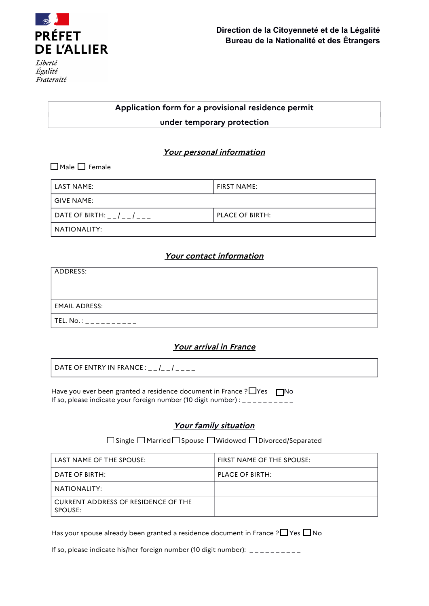

Égalité Fraternité

# **Application form for a provisional residence permit under temporary protection**

## **Your personal information**

 $\Box$  Male  $\Box$  Female

| LAST NAME:                       | <b>FIRST NAME:</b> |  |  |  |  |
|----------------------------------|--------------------|--|--|--|--|
| l GIVE NAME:                     |                    |  |  |  |  |
| DATE OF BIRTH: _ _ / _ _ / _ _ _ | PLACE OF BIRTH:    |  |  |  |  |
| NATIONALITY:                     |                    |  |  |  |  |

### **Your contact information**

| ADDRESS:              |  |
|-----------------------|--|
|                       |  |
|                       |  |
| <b>EMAIL ADRESS:</b>  |  |
| TEL. No. :<br>------- |  |

## **Your arrival in France**

DATE OF ENTRY IN FRANCE : \_ \_ /\_ \_ / \_ \_ \_ \_

Have you ever been granted a residence document in France ?  $\Box$ Yes  $\Box$ No If so, please indicate your foreign number (10 digit number) : \_ \_ \_ \_ \_ \_ \_ \_ \_

## **Your family situation**

□ Single □ Married □ Spouse □ Widowed □ Divorced/Separated

| LAST NAME OF THE SPOUSE:                       | FIRST NAME OF THE SPOUSE: |
|------------------------------------------------|---------------------------|
| DATE OF BIRTH:                                 | PLACE OF BIRTH:           |
| NATIONALITY:                                   |                           |
| CURRENT ADDRESS OF RESIDENCE OF THE<br>SPOUSE: |                           |

Has your spouse already been granted a residence document in France ?  $\Box$  Yes  $\Box$  No

If so, please indicate his/her foreign number (10 digit number): \_\_\_\_\_\_\_\_\_\_